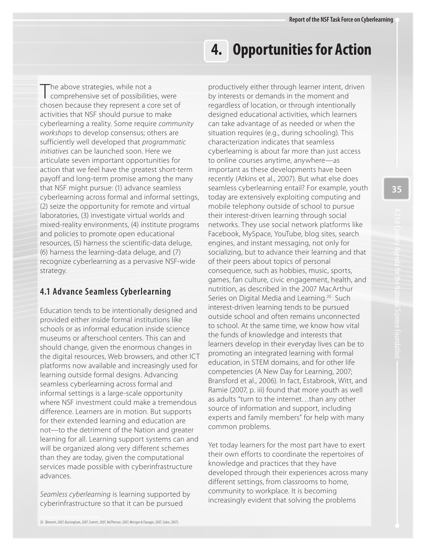The above strategies, while not a<br>Comprehensive set of possibilities, were chosen because they represent a core set of activities that NSF should pursue to make cyberlearning a reality. Some require community workshops to develop consensus; others are sufficiently well developed that programmatic initiatives can be launched soon. Here we articulate seven important opportunities for action that we feel have the greatest short-term payoff and long-term promise among the many that NSF might pursue: (1) advance seamless cyberlearning across formal and informal settings, (2) seize the opportunity for remote and virtual laboratories, (3) investigate virtual worlds and mixed-reality environments, (4) institute programs and policies to promote open educational resources, (5) harness the scientific-data deluge, (6) harness the learning-data deluge, and (7) recognize cyberlearning as a pervasive NSF-wide strategy.

# **4.1 Advance Seamless Cyberlearning**

Education tends to be intentionally designed and provided either inside formal institutions like schools or as informal education inside science museums or afterschool centers. This can and should change, given the enormous changes in the digital resources, Web browsers, and other ICT platforms now available and increasingly used for learning outside formal designs. Advancing seamless cyberlearning across formal and informal settings is a large-scale opportunity where NSF investment could make a tremendous difference. Learners are in motion. But supports for their extended learning and education are not—to the detriment of the Nation and greater learning for all. Learning support systems can and will be organized along very different schemes than they are today, given the computational services made possible with cyberinfrastructure advances.

Seamless cyberlearning is learning supported by cyberinfrastructure so that it can be pursued

# **4. Opportunities for Action**

productively either through learner intent, driven by interests or demands in the moment and regardless of location, or through intentionally designed educational activities, which learners can take advantage of as needed or when the situation requires (e.g., during schooling). This characterization indicates that seamless cyberlearning is about far more than just access to online courses anytime, anywhere—as important as these developments have been recently (Atkins et al., 2007). But what else does seamless cyberlearning entail? For example, youth today are extensively exploiting computing and mobile telephony outside of school to pursue their interest-driven learning through social networks. They use social network platforms like Facebook, MySpace, YouTube, blog sites, search engines, and instant messaging, not only for socializing, but to advance their learning and that of their peers about topics of personal consequence, such as hobbies, music, sports, games, fan culture, civic engagement, health, and nutrition, as described in the 2007 MacArthur Series on Digital Media and Learning.<sup>20</sup> Such interest-driven learning tends to be pursued outside school and often remains unconnected to school. At the same time, we know how vital the funds of knowledge and interests that learners develop in their everyday lives can be to promoting an integrated learning with formal education, in STEM domains, and for other life competencies (A New Day for Learning, 2007; Bransford et al., 2006). In fact, Estabrook, Witt, and Ramie (2007, p. iii) found that more youth as well as adults "turn to the internet…than any other source of information and support, including experts and family members" for help with many common problems.

Yet today learners for the most part have to exert their own efforts to coordinate the repertoires of knowledge and practices that they have developed through their experiences across many different settings, from classrooms to home, community to workplace. It is becoming increasingly evident that solving the problems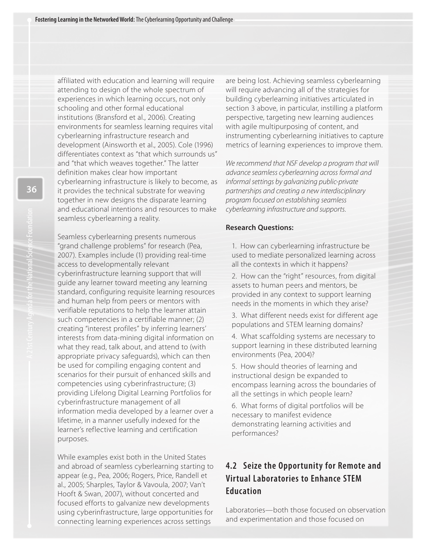affiliated with education and learning will require attending to design of the whole spectrum of experiences in which learning occurs, not only schooling and other formal educational institutions (Bransford et al., 2006). Creating environments for seamless learning requires vital cyberlearning infrastructure research and development (Ainsworth et al., 2005). Cole (1996) differentiates context as "that which surrounds us" and "that which weaves together." The latter definition makes clear how important cyberlearning infrastructure is likely to become, as it provides the technical substrate for weaving together in new designs the disparate learning and educational intentions and resources to make seamless cyberlearning a reality.

Seamless cyberlearning presents numerous "grand challenge problems" for research (Pea, 2007). Examples include (1) providing real-time access to developmentally relevant cyberinfrastructure learning support that will guide any learner toward meeting any learning standard, configuring requisite learning resources and human help from peers or mentors with verifiable reputations to help the learner attain such competencies in a certifiable manner; (2) creating "interest profiles" by inferring learners' interests from data-mining digital information on what they read, talk about, and attend to (with appropriate privacy safeguards), which can then be used for compiling engaging content and scenarios for their pursuit of enhanced skills and competencies using cyberinfrastructure; (3) providing Lifelong Digital Learning Portfolios for cyberinfrastructure management of all information media developed by a learner over a lifetime, in a manner usefully indexed for the learner's reflective learning and certification purposes.

While examples exist both in the United States and abroad of seamless cyberlearning starting to appear (e.g., Pea, 2006; Rogers, Price, Randell et al., 2005; Sharples, Taylor & Vavoula, 2007; Van't Hooft & Swan, 2007), without concerted and focused efforts to galvanize new developments using cyberinfrastructure, large opportunities for connecting learning experiences across settings

are being lost. Achieving seamless cyberlearning will require advancing all of the strategies for building cyberlearning initiatives articulated in section 3 above, in particular, instilling a platform perspective, targeting new learning audiences with agile multipurposing of content, and instrumenting cyberlearning initiatives to capture metrics of learning experiences to improve them.

We recommend that NSF develop a program that will advance seamless cyberlearning across formal and informal settings by galvanizing public-private partnerships and creating a new interdisciplinary program focused on establishing seamless cyberlearning infrastructure and supports.

#### **Research Questions:**

1. How can cyberlearning infrastructure be used to mediate personalized learning across all the contexts in which it happens?

2. How can the "right" resources, from digital assets to human peers and mentors, be provided in any context to support learning needs in the moments in which they arise?

- 3. What different needs exist for different age populations and STEM learning domains?
- 4. What scaffolding systems are necessary to support learning in these distributed learning environments (Pea, 2004)?
- 5. How should theories of learning and instructional design be expanded to encompass learning across the boundaries of all the settings in which people learn?

6. What forms of digital portfolios will be necessary to manifest evidence demonstrating learning activities and performances?

# **4.2 Seize the Opportunity for Remote and Virtual Laboratories to Enhance STEM Education**

Laboratories—both those focused on observation and experimentation and those focused on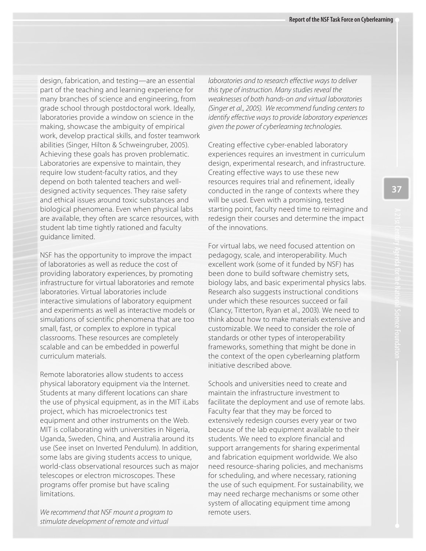design, fabrication, and testing—are an essential part of the teaching and learning experience for many branches of science and engineering, from grade school through postdoctoral work. Ideally, laboratories provide a window on science in the making, showcase the ambiguity of empirical work, develop practical skills, and foster teamwork abilities (Singer, Hilton & Schweingruber, 2005). Achieving these goals has proven problematic. Laboratories are expensive to maintain, they require low student-faculty ratios, and they depend on both talented teachers and welldesigned activity sequences. They raise safety and ethical issues around toxic substances and biological phenomena. Even when physical labs are available, they often are scarce resources, with student lab time tightly rationed and faculty guidance limited.

NSF has the opportunity to improve the impact of laboratories as well as reduce the cost of providing laboratory experiences, by promoting infrastructure for virtual laboratories and remote laboratories. Virtual laboratories include interactive simulations of laboratory equipment and experiments as well as interactive models or simulations of scientific phenomena that are too small, fast, or complex to explore in typical classrooms. These resources are completely scalable and can be embedded in powerful curriculum materials.

Remote laboratories allow students to access physical laboratory equipment via the Internet. Students at many different locations can share the use of physical equipment, as in the MIT iLabs project, which has microelectronics test equipment and other instruments on the Web. MIT is collaborating with universities in Nigeria, Uganda, Sweden, China, and Australia around its use (See inset on Inverted Pendulum). In addition, some labs are giving students access to unique, world-class observational resources such as major telescopes or electron microscopes. These programs offer promise but have scaling limitations.

We recommend that NSF mount a program to stimulate development of remote and virtual

laboratories and to research e*ff*ective ways to deliver this type of instruction. Many studies reveal the weaknesses of both hands-on and virtual laboratories (Singer et al., 2005). We recommend funding centers to identify e*ff*ective ways to provide laboratory experiences given the power of cyberlearning technologies.

Creating effective cyber-enabled laboratory experiences requires an investment in curriculum design, experimental research, and infrastructure. Creating effective ways to use these new resources requires trial and refinement, ideally conducted in the range of contexts where they will be used. Even with a promising, tested starting point, faculty need time to reimagine and redesign their courses and determine the impact of the innovations.

For virtual labs, we need focused attention on pedagogy, scale, and interoperability. Much excellent work (some of it funded by NSF) has been done to build software chemistry sets, biology labs, and basic experimental physics labs. Research also suggests instructional conditions under which these resources succeed or fail (Clancy, Titterton, Ryan et al., 2003). We need to think about how to make materials extensive and customizable. We need to consider the role of standards or other types of interoperability frameworks, something that might be done in the context of the open cyberlearning platform initiative described above.

Schools and universities need to create and maintain the infrastructure investment to facilitate the deployment and use of remote labs. Faculty fear that they may be forced to extensively redesign courses every year or two because of the lab equipment available to their students. We need to explore financial and support arrangements for sharing experimental and fabrication equipment worldwide. We also need resource-sharing policies, and mechanisms for scheduling, and where necessary, rationing the use of such equipment. For sustainability, we may need recharge mechanisms or some other system of allocating equipment time among remote users.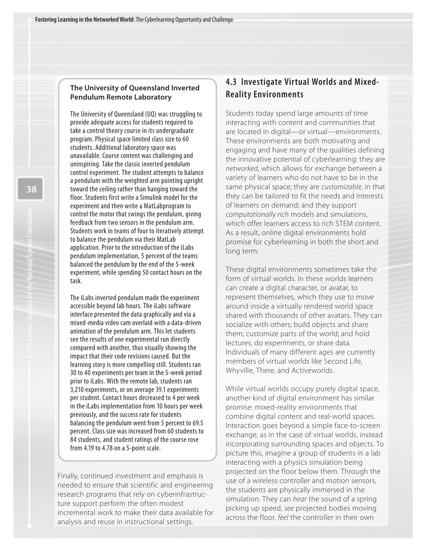#### **The University of Queensland Inverted Pendulum Remote Laboratory**

The University of Queensland (UQ) was struggling to provide adequate access for students required to take a control theory course in its undergraduate program. Physical space limited class size to 60 students. Additional laboratory space was unavailable. Course content was challenging and uninspiring. Take the classic inverted pendulum control experiment. The student attempts to balance a pendulum with the weighted arm pointing upright toward the ceiling rather than hanging toward the floor. Students first write a Simulink model for the experiment and then write a MatLabprogram to control the motor that swings the pendulum, giving feedback from two sensors in the pendulum arm. Students work in teams of four to iteratively attempt to balance the pendulum via their MatLab application. Prior to the introduction of the iLabs pendulum implementation, 5 percent of the teams balanced the pendulum by the end of the 5-week experiment, while spending 50 contact hours on the task.

The iLabs inverted pendulum made the experiment accessible beyond lab hours. The iLabs software interface presented the data graphically and via a mixed-media video cam overlaid with a data-driven animation of the pendulum arm. This let students see the results of one experimental run directly compared with another, thus visually showing the impact that their code revisions caused. But the learning story is more compelling still. Students ran 30 to 40 experiments per team in the 5-week period prior to iLabs. With the remote lab, students ran 3,210 experiments, or on average 39.1 experiments per student. Contact hours decreased to 4 per week in the iLabs implementation from 10 hours per week previously, and the success rate for students balancing the pendulum went from 5 percent to 69.5 percent. Class size was increased from 60 students to 84 students, and student ratings of the course rose from 4.19 to 4.78 on a 5-point scale.

Finally, continued investment and emphasis is needed to ensure that scientific and engineering research programs that rely on cyberinfrastructure support perform the often modest incremental work to make their data available for analysis and reuse in instructional settings.

## **4.3 Investigate Virtual Worlds and Mixed-Reality Environments**

Students today spend large amounts of time interacting with content and communities that are located in digital—or virtual—environments. These environments are both motivating and engaging and have many of the qualities defining the innovative potential of cyberlearning: they are networked, which allows for exchange between a variety of learners who do not have to be in the same physical space; they are customizable, in that they can be tailored to fit the needs and interests of learners on demand; and they support computationally rich models and simulations, which offer learners access to rich STEM content. As a result, online digital environments hold promise for cyberlearning in both the short and long term.

These digital environments sometimes take the form of virtual worlds. In these worlds learners can create a digital character, or avatar, to represent themselves, which they use to move around inside a virtually rendered world space shared with thousands of other avatars. They can socialize with others; build objects and share them; customize parts of the world; and hold lectures, do experiments, or share data. Individuals of many different ages are currently members of virtual worlds like Second Life, Whyville, There, and Activeworlds.

While virtual worlds occupy purely digital space, another kind of digital environment has similar promise: mixed-reality environments that combine digital content and real-world spaces. Interaction goes beyond a simple face-to-screen exchange, as in the case of virtual worlds, instead incorporating surrounding spaces and objects. To picture this, imagine a group of students in a lab interacting with a physics simulation being projected on the floor below them. Through the use of a wireless controller and motion sensors, the students are physically immersed in the simulation. They can hear the sound of a spring picking up speed, see projected bodies moving across the floor, feel the controller in their own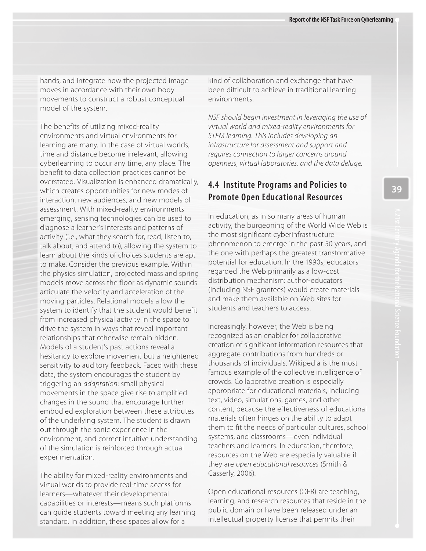model of the system. hands, and integrate how the projected image moves in accordance with their own body movements to construct a robust conceptual

 environments and virtual environments for time and distance become irrelevant, allowing benefit to data collection practices cannot be overstated. Visualization is enhanced dramatically, interaction, new audiences, and new models of assessment. With mixed-reality environments emerging, sensing technologies can be used to diagnose a learner's interests and patterns of talk about, and attend to), allowing the system to to make. Consider the previous example. Within models move across the floor as dynamic sounds moving particles. Relational models allow the from increased physical activity in the space to drive the system in ways that reveal important relationships that otherwise remain hidden. Models of a student's past actions reveal a hesitancy to explore movement but a heightened sensitivity to auditory feedback. Faced with these triggering an *adaptation*: small physical movements in the space give rise to amplified changes in the sound that encourage further embodied exploration between these attributes of the underlying system. The student is drawn environment, and correct intuitive understanding of the simulation is reinforced through actual The benefits of utilizing mixed-reality learning are many. In the case of virtual worlds, cyberlearning to occur any time, any place. The which creates opportunities for new modes of activity (i.e., what they search for, read, listen to, learn about the kinds of choices students are apt the physics simulation, projected mass and spring articulate the velocity and acceleration of the system to identify that the student would benefit data, the system encourages the student by out through the sonic experience in the experimentation.

 The ability for mixed-reality environments and virtual worlds to provide real-time access for learners—whatever their developmental capabilities or interests—means such platforms can guide students toward meeting any learning standard. In addition, these spaces allow for a

kind of collaboration and exchange that have been difficult to achieve in traditional learning environments.

NSF should begin investment in leveraging the use of virtual world and mixed-reality environments for STEM learning. This includes developing an infrastructure for assessment and support and requires connection to larger concerns around openness, virtual laboratories, and the data deluge.

# **4.4 Institute Programs and Policies to Promote Open Educational Resources**

 the most significant cyberinfrastructure phenomenon to emerge in the past 50 years, and the one with perhaps the greatest transformative potential for education. In the 1990s, educators regarded the Web primarily as a low-cost and make them available on Web sites for In education, as in so many areas of human activity, the burgeoning of the World Wide Web is distribution mechanism: author-educators (including NSF grantees) would create materials students and teachers to access.

 creation of significant information resources that aggregate contributions from hundreds or famous example of the collective intelligence of appropriate for educational materials, including materials often hinges on the ability to adapt Increasingly, however, the Web is being recognized as an enabler for collaborative thousands of individuals. Wikipedia is the most crowds. Collaborative creation is especially text, video, simulations, games, and other content, because the effectiveness of educational them to fit the needs of particular cultures, school systems, and classrooms—even individual teachers and learners. In education, therefore, resources on the Web are especially valuable if they are open educational resources (Smith & Casserly, 2006).

 Open educational resources (OER) are teaching, learning, and research resources that reside in the intellectual property license that permits their public domain or have been released under an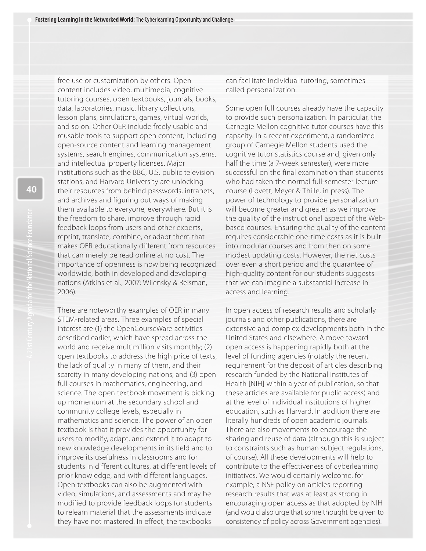free use or customization by others. Open content includes video, multimedia, cognitive tutoring courses, open textbooks, journals, books, data, laboratories, music, library collections, lesson plans, simulations, games, virtual worlds, and so on. Other OER include freely usable and reusable tools to support open content, including open-source content and learning management systems, search engines, communication systems, and intellectual property licenses. Major institutions such as the BBC, U.S. public television stations, and Harvard University are unlocking their resources from behind passwords, intranets, and archives and figuring out ways of making them available to everyone, everywhere. But it is the freedom to share, improve through rapid feedback loops from users and other experts, reprint, translate, combine, or adapt them that makes OER educationally different from resources that can merely be read online at no cost. The importance of openness is now being recognized worldwide, both in developed and developing nations (Atkins et al., 2007; Wilensky & Reisman, 2006).

There are noteworthy examples of OER in many STEM-related areas. Three examples of special interest are (1) the OpenCourseWare activities described earlier, which have spread across the world and receive multimillion visits monthly; (2) open textbooks to address the high price of texts, the lack of quality in many of them, and their scarcity in many developing nations; and (3) open full courses in mathematics, engineering, and science. The open textbook movement is picking up momentum at the secondary school and community college levels, especially in mathematics and science. The power of an open textbook is that it provides the opportunity for users to modify, adapt, and extend it to adapt to new knowledge developments in its field and to improve its usefulness in classrooms and for students in different cultures, at different levels of prior knowledge, and with different languages. Open textbooks can also be augmented with video, simulations, and assessments and may be modified to provide feedback loops for students to relearn material that the assessments indicate they have not mastered. In effect, the textbooks

can facilitate individual tutoring, sometimes called personalization.

Some open full courses already have the capacity to provide such personalization. In particular, the Carnegie Mellon cognitive tutor courses have this capacity. In a recent experiment, a randomized group of Carnegie Mellon students used the cognitive tutor statistics course and, given only half the time (a 7-week semester), were more successful on the final examination than students who had taken the normal full-semester lecture course (Lovett, Meyer & Thille, in press). The power of technology to provide personalization will become greater and greater as we improve the quality of the instructional aspect of the Webbased courses. Ensuring the quality of the content requires considerable one-time costs as it is built into modular courses and from then on some modest updating costs. However, the net costs over even a short period and the guarantee of high-quality content for our students suggests that we can imagine a substantial increase in access and learning.

In open access of research results and scholarly journals and other publications, there are extensive and complex developments both in the United States and elsewhere. A move toward open access is happening rapidly both at the level of funding agencies (notably the recent requirement for the deposit of articles describing research funded by the National Institutes of Health [NIH] within a year of publication, so that these articles are available for public access) and at the level of individual institutions of higher education, such as Harvard. In addition there are literally hundreds of open academic journals. There are also movements to encourage the sharing and reuse of data (although this is subject to constraints such as human subject regulations, of course). All these developments will help to contribute to the effectiveness of cyberlearning initiatives. We would certainly welcome, for example, a NSF policy on articles reporting research results that was at least as strong in encouraging open access as that adopted by NIH (and would also urge that some thought be given to consistency of policy across Government agencies).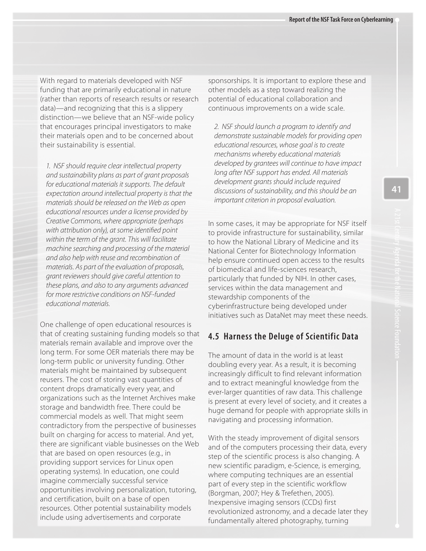With regard to materials developed with NSF funding that are primarily educational in nature (rather than reports of research results or research data)—and recognizing that this is a slippery distinction—we believe that an NSF-wide policy that encourages principal investigators to make their materials open and to be concerned about their sustainability is essential.

1. NSF should require clear intellectual property and sustainability plans as part of grant proposals for educational materials it supports. The default expectation around intellectual property is that the materials should be released on the Web as open educational resources under a license provided by Creative Commons, where appropriate (perhaps with attribution only), at some identi*fi*ed point within the term of the grant. This will facilitate machine searching and processing of the material and also help with reuse and recombination of materials. As part of the evaluation of proposals, grant reviewers should give careful attention to these plans, and also to any arguments advanced for more restrictive conditions on NSF-funded educational materials.

One challenge of open educational resources is that of creating sustaining funding models so that materials remain available and improve over the long term. For some OER materials there may be long-term public or university funding. Other materials might be maintained by subsequent reusers. The cost of storing vast quantities of content drops dramatically every year, and organizations such as the Internet Archives make storage and bandwidth free. There could be commercial models as well. That might seem contradictory from the perspective of businesses built on charging for access to material. And yet, there are significant viable businesses on the Web that are based on open resources (e.g., in providing support services for Linux open operating systems). In education, one could imagine commercially successful service opportunities involving personalization, tutoring, and certification, built on a base of open resources. Other potential sustainability models include using advertisements and corporate

sponsorships. It is important to explore these and other models as a step toward realizing the potential of educational collaboration and continuous improvements on a wide scale.

2. NSF should launch a program to identify and demonstrate sustainable models for providing open educational resources, whose goal is to create mechanisms whereby educational materials developed by grantees will continue to have impact long after NSF support has ended. All materials development grants should include required discussions of sustainability, and this should be an important criterion in proposal evaluation.

In some cases, it may be appropriate for NSF itself to provide infrastructure for sustainability, similar to how the National Library of Medicine and its National Center for Biotechnology Information help ensure continued open access to the results of biomedical and life-sciences research, particularly that funded by NIH. In other cases, services within the data management and stewardship components of the cyberinfrastructure being developed under initiatives such as DataNet may meet these needs.

### **4.5 Harness the Deluge of Scientific Data**

The amount of data in the world is at least doubling every year. As a result, it is becoming increasingly difficult to find relevant information and to extract meaningful knowledge from the ever-larger quantities of raw data. This challenge is present at every level of society, and it creates a huge demand for people with appropriate skills in navigating and processing information.

With the steady improvement of digital sensors and of the computers processing their data, every step of the scientific process is also changing. A new scientific paradigm, e-Science, is emerging, where computing techniques are an essential part of every step in the scientific workflow (Borgman, 2007; Hey & Trefethen, 2005). Inexpensive imaging sensors (CCDs) first revolutionized astronomy, and a decade later they fundamentally altered photography, turning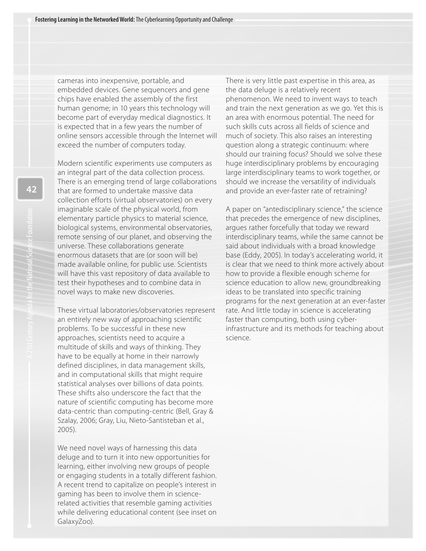cameras into inexpensive, portable, and embedded devices. Gene sequencers and gene chips have enabled the assembly of the first human genome; in 10 years this technology will become part of everyday medical diagnostics. It

is expected that in a few years the number of online sensors accessible through the Internet will exceed the number of computers today.

Modern scientific experiments use computers as an integral part of the data collection process. There is an emerging trend of large collaborations that are formed to undertake massive data collection efforts (virtual observatories) on every imaginable scale of the physical world, from elementary particle physics to material science, biological systems, environmental observatories, remote sensing of our planet, and observing the universe. These collaborations generate enormous datasets that are (or soon will be) made available online, for public use. Scientists will have this vast repository of data available to test their hypotheses and to combine data in novel ways to make new discoveries.

These virtual laboratories/observatories represent an entirely new way of approaching scientific problems. To be successful in these new approaches, scientists need to acquire a multitude of skills and ways of thinking. They have to be equally at home in their narrowly defined disciplines, in data management skills, and in computational skills that might require statistical analyses over billions of data points. These shifts also underscore the fact that the nature of scientific computing has become more data-centric than computing-centric (Bell, Gray & Szalay, 2006; Gray, Liu, Nieto-Santisteban et al., 2005).

We need novel ways of harnessing this data deluge and to turn it into new opportunities for learning, either involving new groups of people or engaging students in a totally different fashion. A recent trend to capitalize on people's interest in gaming has been to involve them in sciencerelated activities that resemble gaming activities while delivering educational content (see inset on GalaxyZoo).

There is very little past expertise in this area, as the data deluge is a relatively recent phenomenon. We need to invent ways to teach and train the next generation as we go. Yet this is an area with enormous potential. The need for such skills cuts across all fields of science and much of society. This also raises an interesting question along a strategic continuum: where should our training focus? Should we solve these huge interdisciplinary problems by encouraging large interdisciplinary teams to work together, or should we increase the versatility of individuals and provide an ever-faster rate of retraining?

A paper on "antedisciplinary science," the science that precedes the emergence of new disciplines, argues rather forcefully that today we reward interdisciplinary teams, while the same cannot be said about individuals with a broad knowledge base (Eddy, 2005). In today's accelerating world, it is clear that we need to think more actively about how to provide a flexible enough scheme for science education to allow new, groundbreaking ideas to be translated into specific training programs for the next generation at an ever-faster rate. And little today in science is accelerating faster than computing, both using cyberinfrastructure and its methods for teaching about science.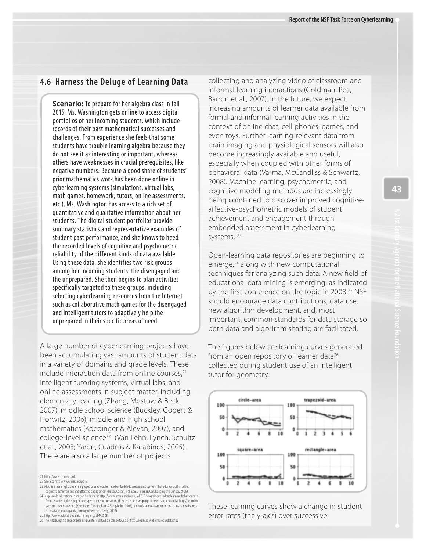#### **4.6 Harness the Deluge of Learning Data**

**Scenario:** To prepare for her algebra class in fall 2015, Ms. Washington gets online to access digital portfolios of her incoming students, which include records of their past mathematical successes and challenges. From experience she feels that some students have trouble learning algebra because they do not see it as interesting or important, whereas others have weaknesses in crucial prerequisites, like negative numbers. Because a good share of students' prior mathematics work has been done online in cyberlearning systems (simulations, virtual labs, math games, homework, tutors, online assessments, etc.), Ms. Washington has access to a rich set of quantitative and qualitative information about her students. The digital student portfolios provide summary statistics and representative examples of student past performance, and she knows to heed the recorded levels of cognitive and psychometric reliability of the different kinds of data available. Using these data, she identifies two risk groups among her incoming students: the disengaged and the unprepared. She then begins to plan activities specifically targeted to these groups, including selecting cyberlearning resources from the Internet such as collaborative math games for the disengaged and intelligent tutors to adaptively help the unprepared in their specific areas of need.

A large number of cyberlearning projects have been accumulating vast amounts of student data in a variety of domains and grade levels. These include interaction data from online courses, $21$ intelligent tutoring systems, virtual labs, and online assessments in subject matter, including elementary reading (Zhang, Mostow & Beck, 2007), middle school science (Buckley, Gobert & Horwitz, 2006), middle and high school mathematics (Koedinger & Alevan, 2007), and college-level science<sup>22</sup> (Van Lehn, Lynch, Schultz et al., 2005; Yaron, Cuadros & Karabinos, 2005). There are also a large number of projects

23 Machine learning has been employed to create automated embedded assessments systems that address both stude cognitive achievement and affective engagement (Baker, Corbet, Roll et al., in press; Cen, Koedinger & Junker, 2006).

24 Large-scale educational data can be found at [http://www.icpsr.umich.edu/IAED.](http://www.icpsr.umich.edu/IAED) Fine-grained student learning behavior data from recorded online, paper, and speech interactions in math, science, and language courses can be found at [http://learnlab.](http://learnlab) web.cmu.edu/datashop (Koedinger, Cunningham & Skogsholm, 2008). Video data on classroom interactions can be found at [http://talkbank.org/data,](http://talkbank.org/data) among other sites (Derry, 2007).

25 <http://www.educationaldatamining.org/EDM2008>

26 The Pittsburgh Science of Learning Center's DataShop can be found at [http://learnlab.web.cmu.edu/datashop.](http://learnlab.web.cmu.edu/datashop) 

collecting and analyzing video of classroom and informal learning interactions (Goldman, Pea, Barron et al., 2007). In the future, we expect increasing amounts of learner data available from formal and informal learning activities in the context of online chat, cell phones, games, and even toys. Further learning-relevant data from brain imaging and physiological sensors will also become increasingly available and useful, especially when coupled with other forms of behavioral data (Varma, McCandliss & Schwartz, 2008). Machine learning, psychometric, and cognitive modeling methods are increasingly being combined to discover improved cognitiveaffective-psychometric models of student achievement and engagement through embedded assessment in cyberlearning systems. 23

Open-learning data repositories are beginning to emerge,<sup>24</sup> along with new computational techniques for analyzing such data. A new field of educational data mining is emerging, as indicated by the first conference on the topic in 2008.<sup>25</sup> NSF should encourage data contributions, data use, new algorithm development, and, most important, common standards for data storage so both data and algorithm sharing are facilitated.

The figures below are learning curves generated from an open repository of learner data<sup>26</sup> collected during student use of an intelligent tutor for geometry.



These learning curves show a change in student error rates (the y-axis) over successive

<sup>21</sup> <http://www.cmu.edu/oli/>

<sup>22</sup> See also [http://www.cmu.edu/oli/.](http://www.cmu.edu/oli/)